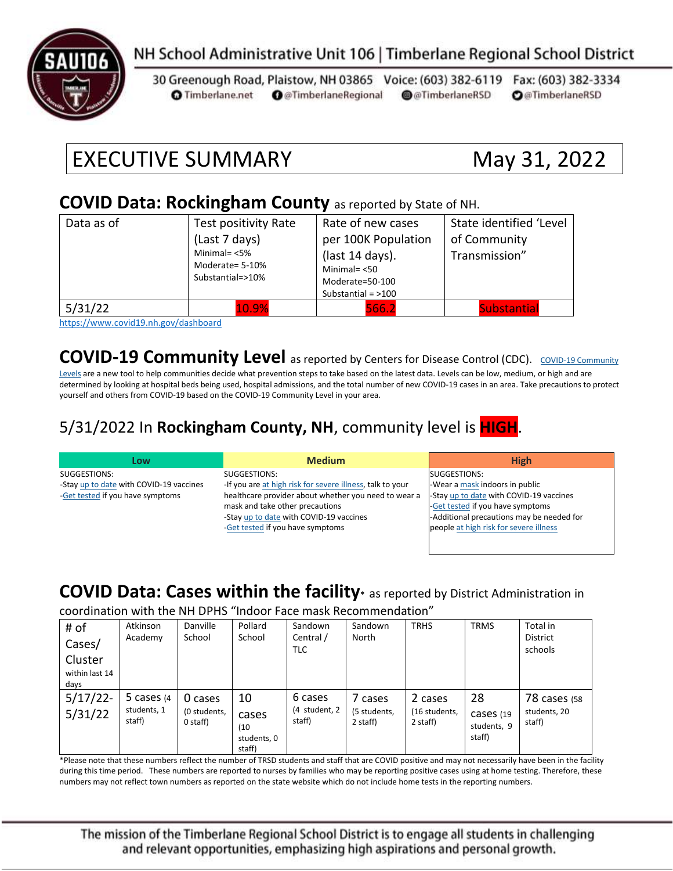

### NH School Administrative Unit 106 | Timberlane Regional School District

30 Greenough Road, Plaistow, NH 03865 Voice: (603) 382-6119 Fax: (603) 382-3334 **O** @TimberlaneRegional @@TimberlaneRSD **O**@TimberlaneRSD **O** Timberlane.net

# EXECUTIVE SUMMARY May 31, 2022

#### **COVID Data: Rockingham County** as reported by State of NH.

| Data as of                                           | Test positivity Rate<br>(Last 7 days)<br>Minimal= $<$ 5%<br>Moderate= 5-10%<br>Substantial=>10% | Rate of new cases<br>per 100K Population<br>(last 14 days).<br>Minimal $=$ <50<br>Moderate=50-100<br>Substantial = $>100$ | State identified 'Level<br>of Community<br>Transmission" |
|------------------------------------------------------|-------------------------------------------------------------------------------------------------|---------------------------------------------------------------------------------------------------------------------------|----------------------------------------------------------|
| 5/31/22<br>$\sim$ $\sim$ $\sim$ $\sim$ $\sim$ $\sim$ | 10.9%<br>.                                                                                      | 566.2                                                                                                                     | <b>Substantial</b>                                       |

<https://www.covid19.nh.gov/dashboard>

**[COVID-19 Community](https://www.cdc.gov/coronavirus/2019-ncov/science/community-levels.html) Level** as reported by Centers for Disease Control (CDC). COVID-19 Community

[Levels](https://www.cdc.gov/coronavirus/2019-ncov/science/community-levels.html) are a new tool to help communities decide what prevention steps to take based on the latest data. Levels can be low, medium, or high and are determined by looking at hospital beds being used, hospital admissions, and the total number of new COVID-19 cases in an area. Take precautions to protect yourself and others from COVID-19 based on the COVID-19 Community Level in your area.

#### 5/31/2022 In **Rockingham County, NH**, community level is **HIGH**.

| Low                                     | <b>Medium</b>                                             | <b>High</b>                               |
|-----------------------------------------|-----------------------------------------------------------|-------------------------------------------|
| SUGGESTIONS:                            | SUGGESTIONS:                                              | SUGGESTIONS:                              |
| -Stay up to date with COVID-19 vaccines | -If you are at high risk for severe illness, talk to your | -Wear a mask indoors in public            |
| -Get tested if you have symptoms        | healthcare provider about whether you need to wear a      | -Stay up to date with COVID-19 vaccines   |
|                                         | mask and take other precautions                           | -Get tested if you have symptoms          |
|                                         | -Stay up to date with COVID-19 vaccines                   | -Additional precautions may be needed for |
|                                         | -Get tested if you have symptoms                          | people at high risk for severe illness    |
|                                         |                                                           |                                           |

#### **COVID Data: Cases within the facility\*** as reported by District Administration in

coordination with the NH DPHS "Indoor Face mask Recommendation"

| # of                              | Atkinson                               | Danville                            | Pollard                                      | Sandown                            | Sandown                             | <b>TRHS</b>                          | <b>TRMS</b>                              | Total in                                      |
|-----------------------------------|----------------------------------------|-------------------------------------|----------------------------------------------|------------------------------------|-------------------------------------|--------------------------------------|------------------------------------------|-----------------------------------------------|
| Cases/                            | Academy                                | School                              | School                                       | Central /<br><b>TLC</b>            | North                               |                                      |                                          | <b>District</b><br>schools                    |
| Cluster<br>within last 14<br>days |                                        |                                     |                                              |                                    |                                     |                                      |                                          |                                               |
| 5/17/22<br>5/31/22                | 5 cases $(4)$<br>students, 1<br>staff) | 0 cases<br>(0 students,<br>0 staff) | 10<br>cases<br>(10)<br>students, 0<br>staff) | 6 cases<br>(4 student, 2<br>staff) | 7 cases<br>(5 students,<br>2 staff) | 2 cases<br>(16 students,<br>2 staff) | 28<br>Cases (19<br>students, 9<br>staff) | <b>78 cases (58</b><br>students, 20<br>staff) |

\*Please note that these numbers reflect the number of TRSD students and staff that are COVID positive and may not necessarily have been in the facility during this time period. These numbers are reported to nurses by families who may be reporting positive cases using at home testing. Therefore, these numbers may not reflect town numbers as reported on the state website which do not include home tests in the reporting numbers.

The mission of the Timberlane Regional School District is to engage all students in challenging and relevant opportunities, emphasizing high aspirations and personal growth.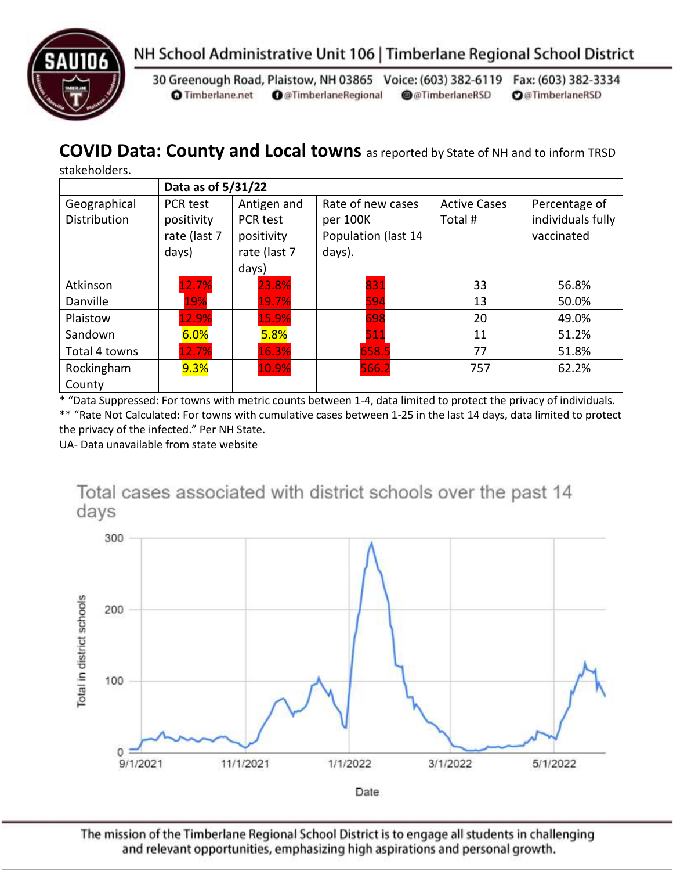



30 Greenough Road, Plaistow, NH 03865 Voice: (603) 382-6119 Fax: (603) 382-3334 **O** Timberlane.net **O** @TimberlaneRegional @@TimberlaneRSD **O**@TimberlaneRSD

### **COVID Data: County and Local towns** as reported by State of NH and to inform TRSD

stakeholders.

|                                     | Data as of 5/31/22                              |                                                                |                                                                |                               |                                                  |  |
|-------------------------------------|-------------------------------------------------|----------------------------------------------------------------|----------------------------------------------------------------|-------------------------------|--------------------------------------------------|--|
| Geographical<br><b>Distribution</b> | PCR test<br>positivity<br>rate (last 7<br>days) | Antigen and<br>PCR test<br>positivity<br>rate (last 7<br>days) | Rate of new cases<br>per 100K<br>Population (last 14<br>days). | <b>Active Cases</b><br>Total# | Percentage of<br>individuals fully<br>vaccinated |  |
| Atkinson                            | 12.7%                                           | 23.8%                                                          | 831                                                            | 33                            | 56.8%                                            |  |
| Danville                            | 19%                                             | 19.7%                                                          | 594                                                            | 13                            | 50.0%                                            |  |
| Plaistow                            | 12.9%                                           | 15.9%                                                          | 698                                                            | 20                            | 49.0%                                            |  |
| Sandown                             | 6.0%                                            | 5.8%                                                           | 511                                                            | 11                            | 51.2%                                            |  |
| Total 4 towns                       | 12.7%                                           | 16.3%                                                          | 658.5                                                          | 77                            | 51.8%                                            |  |
| Rockingham<br>County                | $9.3\%$                                         | 10.9%                                                          | 566.2                                                          | 757                           | 62.2%                                            |  |

\* "Data Suppressed: For towns with metric counts between 1-4, data limited to protect the privacy of individuals. \*\* "Rate Not Calculated: For towns with cumulative cases between 1-25 in the last 14 days, data limited to protect

the privacy of the infected." Per NH State.

UA- Data unavailable from state website



The mission of the Timberlane Regional School District is to engage all students in challenging and relevant opportunities, emphasizing high aspirations and personal growth.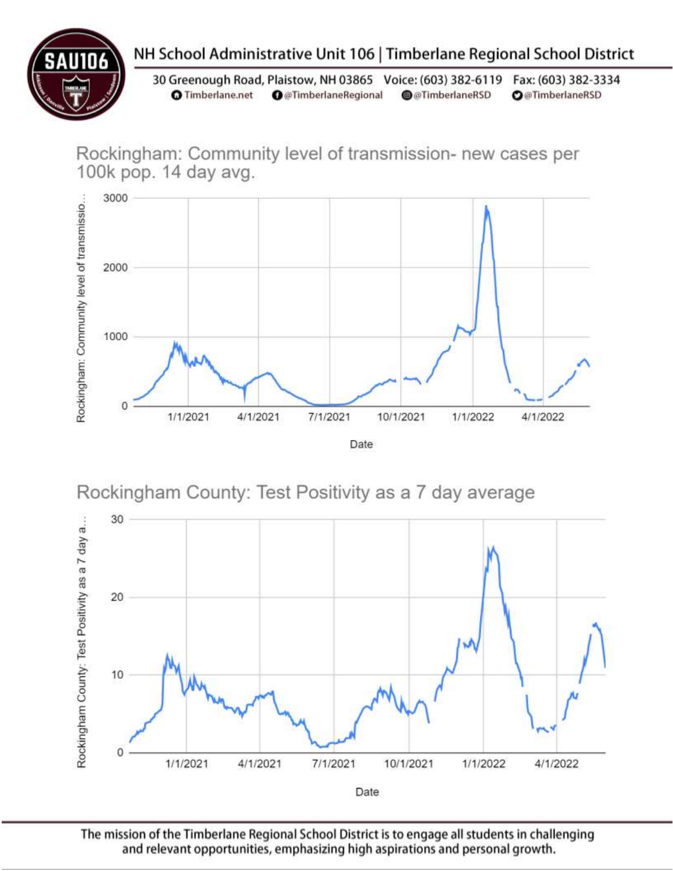

# NH School Administrative Unit 106 | Timberlane Regional School District

30 Greenough Road, Plaistow, NH 03865 Voice: (603) 382-6119 Fax: (603) 382-3334 **O** Timberlane.net **O** @TimberlaneRegional @@TimberlaneRSD **O**@TimberlaneRSD

Rockingham: Community level of transmission- new cases per 100k pop. 14 day avg.



Rockingham County: Test Positivity as a 7 day average



The mission of the Timberlane Regional School District is to engage all students in challenging and relevant opportunities, emphasizing high aspirations and personal growth.